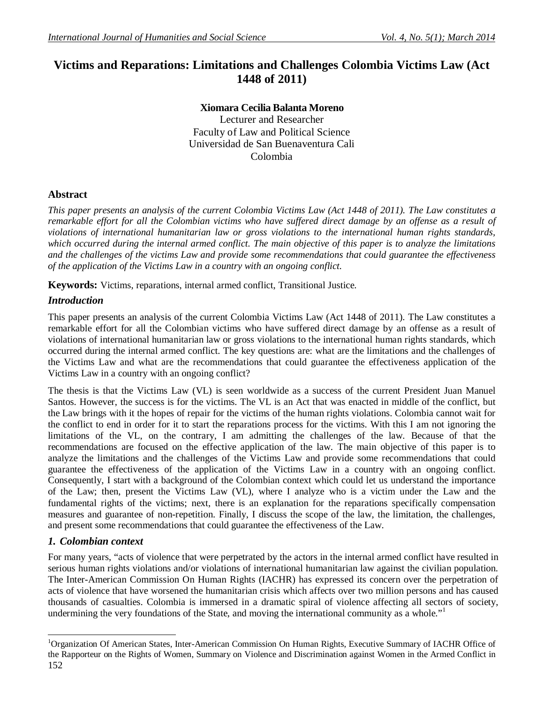# **Victims and Reparations: Limitations and Challenges Colombia Victims Law (Act 1448 of 2011)**

## **Xiomara Cecilia Balanta Moreno**

Lecturer and Researcher Faculty of Law and Political Science Universidad de San Buenaventura Cali Colombia

## **Abstract**

*This paper presents an analysis of the current Colombia Victims Law (Act 1448 of 2011). The Law constitutes a remarkable effort for all the Colombian victims who have suffered direct damage by an offense as a result of violations of international humanitarian law or gross violations to the international human rights standards, which occurred during the internal armed conflict. The main objective of this paper is to analyze the limitations and the challenges of the victims Law and provide some recommendations that could guarantee the effectiveness of the application of the Victims Law in a country with an ongoing conflict.*

**Keywords:** Victims, reparations, internal armed conflict, Transitional Justice.

## *Introduction*

This paper presents an analysis of the current Colombia Victims Law (Act 1448 of 2011). The Law constitutes a remarkable effort for all the Colombian victims who have suffered direct damage by an offense as a result of violations of international humanitarian law or gross violations to the international human rights standards, which occurred during the internal armed conflict. The key questions are: what are the limitations and the challenges of the Victims Law and what are the recommendations that could guarantee the effectiveness application of the Victims Law in a country with an ongoing conflict?

The thesis is that the Victims Law (VL) is seen worldwide as a success of the current President Juan Manuel Santos. However, the success is for the victims. The VL is an Act that was enacted in middle of the conflict, but the Law brings with it the hopes of repair for the victims of the human rights violations. Colombia cannot wait for the conflict to end in order for it to start the reparations process for the victims. With this I am not ignoring the limitations of the VL, on the contrary, I am admitting the challenges of the law. Because of that the recommendations are focused on the effective application of the law. The main objective of this paper is to analyze the limitations and the challenges of the Victims Law and provide some recommendations that could guarantee the effectiveness of the application of the Victims Law in a country with an ongoing conflict. Consequently, I start with a background of the Colombian context which could let us understand the importance of the Law; then, present the Victims Law (VL), where I analyze who is a victim under the Law and the fundamental rights of the victims; next, there is an explanation for the reparations specifically compensation measures and guarantee of non-repetition. Finally, I discuss the scope of the law, the limitation, the challenges, and present some recommendations that could guarantee the effectiveness of the Law.

## *1. Colombian context*

 $\overline{a}$ 

For many years, "acts of violence that were perpetrated by the actors in the internal armed conflict have resulted in serious human rights violations and/or violations of international humanitarian law against the civilian population. The Inter-American Commission On Human Rights (IACHR) has expressed its concern over the perpetration of acts of violence that have worsened the humanitarian crisis which affects over two million persons and has caused thousands of casualties. Colombia is immersed in a dramatic spiral of violence affecting all sectors of society, undermining the very foundations of the State, and moving the international community as a whole."

<sup>152</sup> <sup>1</sup>Organization Of American States, Inter-American Commission On Human Rights, Executive Summary of IACHR Office of the Rapporteur on the Rights of Women, Summary on Violence and Discrimination against Women in the Armed Conflict in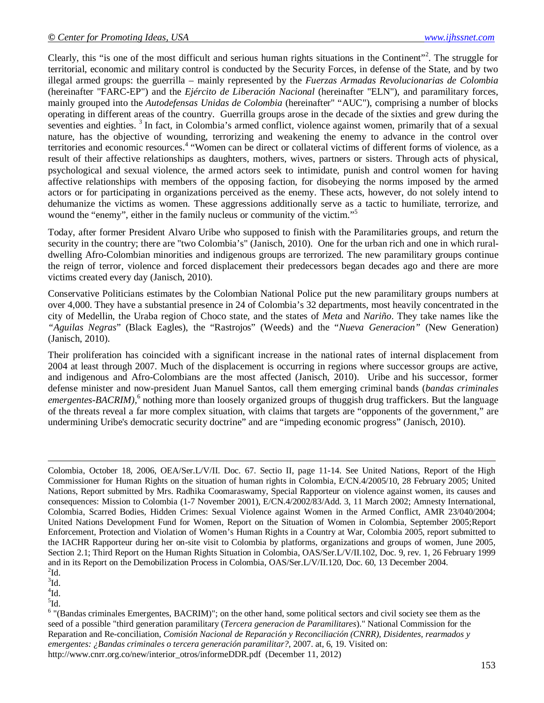Clearly, this "is one of the most difficult and serious human rights situations in the Continent"<sup>2</sup>. The struggle for territorial, economic and military control is conducted by the Security Forces, in defense of the State, and by two illegal armed groups: the guerrilla – mainly represented by the *Fuerzas Armadas Revolucionarias de Colombia* (hereinafter "FARC-EP") and the *Ejército de Liberación Nacional* (hereinafter "ELN"), and paramilitary forces, mainly grouped into the *Autodefensas Unidas de Colombia* (hereinafter" "AUC"), comprising a number of blocks operating in different areas of the country. Guerrilla groups arose in the decade of the sixties and grew during the seventies and eighties.<sup>3</sup> In fact, in Colombia's armed conflict, violence against women, primarily that of a sexual nature, has the objective of wounding, terrorizing and weakening the enemy to advance in the control over territories and economic resources.<sup>4</sup> "Women can be direct or collateral victims of different forms of violence, as a result of their affective relationships as daughters, mothers, wives, partners or sisters. Through acts of physical, psychological and sexual violence, the armed actors seek to intimidate, punish and control women for having affective relationships with members of the opposing faction, for disobeying the norms imposed by the armed actors or for participating in organizations perceived as the enemy. These acts, however, do not solely intend to dehumanize the victims as women. These aggressions additionally serve as a tactic to humiliate, terrorize, and wound the "enemy", either in the family nucleus or community of the victim."<sup>5</sup>

Today, after former President Alvaro Uribe who supposed to finish with the Paramilitaries groups, and return the security in the country; there are "two Colombia's" (Janisch, 2010). One for the urban rich and one in which ruraldwelling Afro-Colombian minorities and indigenous groups are terrorized. The new paramilitary groups continue the reign of terror, violence and forced displacement their predecessors began decades ago and there are more victims created every day (Janisch, 2010).

Conservative Politicians estimates by the Colombian National Police put the new paramilitary groups numbers at over 4,000. They have a substantial presence in 24 of Colombia's 32 departments, most heavily concentrated in the city of Medellin, the Uraba region of Choco state, and the states of *Meta* and *Nariño*. They take names like the *"Aguilas Negras*" (Black Eagles), the "Rastrojos" (Weeds) and the "*Nueva Generacion"* (New Generation) (Janisch, 2010).

Their proliferation has coincided with a significant increase in the national rates of internal displacement from 2004 at least through 2007. Much of the displacement is occurring in regions where successor groups are active, and indigenous and Afro-Colombians are the most affected (Janisch, 2010). Uribe and his successor, former defense minister and now-president Juan Manuel Santos, call them emerging criminal bands (*bandas criminales*  emergentes-BACRIM),<sup>6</sup> nothing more than loosely organized groups of thuggish drug traffickers. But the language of the threats reveal a far more complex situation, with claims that targets are "opponents of the government," are undermining Uribe's democratic security doctrine" and are "impeding economic progress" (Janisch, 2010).

 $\overline{a}$ 

 $\rm ^4 Id.$ 

 ${}^{5}$ Id.

Colombia, October 18, 2006, OEA/Ser.L/V/II. Doc. 67. Sectio II, page 11-14. See United Nations, Report of the High Commissioner for Human Rights on the situation of human rights in Colombia, E/CN.4/2005/10, 28 February 2005; United Nations, Report submitted by Mrs. Radhika Coomaraswamy, Special Rapporteur on violence against women, its causes and consequences: Mission to Colombia (1-7 November 2001), E/CN.4/2002/83/Add. 3, 11 March 2002; Amnesty International, Colombia, Scarred Bodies, Hidden Crimes: Sexual Violence against Women in the Armed Conflict, AMR 23/040/2004; United Nations Development Fund for Women, Report on the Situation of Women in Colombia, September 2005;Report Enforcement, Protection and Violation of Women's Human Rights in a Country at War, Colombia 2005, report submitted to the IACHR Rapporteur during her on-site visit to Colombia by platforms, organizations and groups of women, June 2005, Section 2.1; Third Report on the Human Rights Situation in Colombia, OAS/Ser.L/V/II.102, Doc. 9, rev. 1, 26 February 1999 and in its Report on the Demobilization Process in Colombia, OAS/Ser.L/V/II.120, Doc. 60, 13 December 2004.  $\rm{^{2}Id.}$ 

 $\rm{^{3}Id}.$ 

<sup>&</sup>lt;sup>6</sup> "(Bandas criminales Emergentes, BACRIM)"; on the other hand, some political sectors and civil society see them as the seed of a possible "third generation paramilitary (*Tercera generacion de Paramilitares*)." National Commission for the Reparation and Re-conciliation, *Comisión Nacional de Reparación y Reconciliación (CNRR), Disidentes, rearmados y emergentes: ¿Bandas criminales o tercera generación paramilitar?,* 2007. at, 6, 19. Visited on: http://www.cnrr.org.co/new/interior\_otros/informeDDR.pdf (December 11, 2012)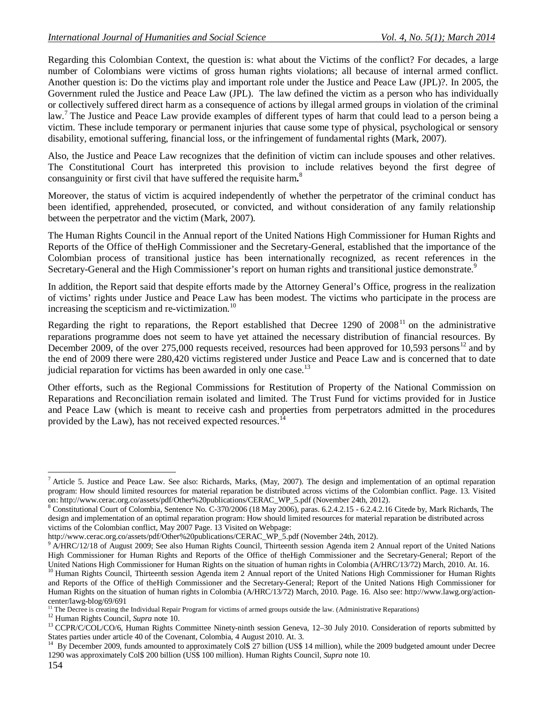Regarding this Colombian Context, the question is: what about the Victims of the conflict? For decades, a large number of Colombians were victims of gross human rights violations; all because of internal armed conflict. Another question is: Do the victims play and important role under the Justice and Peace Law (JPL)?. In 2005, the Government ruled the Justice and Peace Law (JPL). The law defined the victim as a person who has individually or collectively suffered direct harm as a consequence of actions by illegal armed groups in violation of the criminal law.<sup>7</sup> The Justice and Peace Law provide examples of different types of harm that could lead to a person being a victim. These include temporary or permanent injuries that cause some type of physical, psychological or sensory disability, emotional suffering, financial loss, or the infringement of fundamental rights (Mark, 2007).

Also, the Justice and Peace Law recognizes that the definition of victim can include spouses and other relatives. The Constitutional Court has interpreted this provision to include relatives beyond the first degree of consanguinity or first civil that have suffered the requisite harm**.** 8

Moreover, the status of victim is acquired independently of whether the perpetrator of the criminal conduct has been identified, apprehended, prosecuted, or convicted, and without consideration of any family relationship between the perpetrator and the victim (Mark, 2007).

The Human Rights Council in the Annual report of the United Nations High Commissioner for Human Rights and Reports of the Office of theHigh Commissioner and the Secretary-General, established that the importance of the Colombian process of transitional justice has been internationally recognized, as recent references in the Secretary-General and the High Commissioner's report on human rights and transitional justice demonstrate.<sup>9</sup>

In addition, the Report said that despite efforts made by the Attorney General's Office, progress in the realization of victims' rights under Justice and Peace Law has been modest. The victims who participate in the process are increasing the scepticism and re-victimization. $^{10}$ 

Regarding the right to reparations, the Report established that Decree 1290 of  $2008<sup>11</sup>$  on the administrative reparations programme does not seem to have yet attained the necessary distribution of financial resources. By December 2009, of the over 275,000 requests received, resources had been approved for 10,593 persons<sup>12</sup> and by the end of 2009 there were 280,420 victims registered under Justice and Peace Law and is concerned that to date judicial reparation for victims has been awarded in only one case.<sup>13</sup>

Other efforts, such as the Regional Commissions for Restitution of Property of the National Commission on Reparations and Reconciliation remain isolated and limited. The Trust Fund for victims provided for in Justice and Peace Law (which is meant to receive cash and properties from perpetrators admitted in the procedures provided by the Law), has not received expected resources.<sup>1</sup>

 $\overline{a}$ 

Article 5. Justice and Peace Law. See also: Richards, Marks, (May, 2007). The design and implementation of an optimal reparation program: How should limited resources for material reparation be distributed across victims of the Colombian conflict. Page. 13. Visited on: http://www.cerac.org.co/assets/pdf/Other%20publications/CERAC\_WP\_5.pdf (November 24th, 2012).

<sup>8</sup> Constitutional Court of Colombia, Sentence No. C-370/2006 (18 May 2006), paras. 6.2.4.2.15 - 6.2.4.2.16 Citede by, Mark Richards, The design and implementation of an optimal reparation program: How should limited resources for material reparation be distributed across victims of the Colombian conflict, May 2007 Page. 13 Visited on Webpage:

http://www.cerac.org.co/assets/pdf/Other%20publications/CERAC\_WP\_5.pdf (November 24th, 2012).

<sup>&</sup>lt;sup>9</sup> A/HRC/12/18 of August 2009; See also Human Rights Council, Thirteenth session Agenda item 2 Annual report of the United Nations High Commissioner for Human Rights and Reports of the Office of theHigh Commissioner and the Secretary-General; Report of the United Nations High Commissioner for Human Rights on the situation of human rights in Colombia (A/HRC/13/72) March, 2010. At. 16.

<sup>&</sup>lt;sup>10</sup> Human Rights Council, Thirteenth session Agenda item 2 Annual report of the United Nations High Commissioner for Human Rights and Reports of the Office of theHigh Commissioner and the Secretary-General; Report of the United Nations High Commissioner for Human Rights on the situation of human rights in Colombia (A/HRC/13/72) March, 2010. Page. 16. Also see: http://www.lawg.org/actioncenter/lawg-blog/69/691

 $<sup>11</sup>$  The Decree is creating the Individual Repair Program for victims of armed groups outside the law. (Administrative Reparations)</sup>

<sup>12</sup> Human Rights Council, *Supra* note 10.

<sup>&</sup>lt;sup>13</sup> CCPR/C/COL/CO/6, Human Rights Committee Ninety-ninth session Geneva, 12-30 July 2010. Consideration of reports submitted by States parties under article 40 of the Covenant, Colombia, 4 August 2010. At. 3.

<sup>&</sup>lt;sup>14</sup> By December 2009, funds amounted to approximately Col\$ 27 billion (US\$ 14 million), while the 2009 budgeted amount under Decree 1290 was approximately Col\$ 200 billion (US\$ 100 million). Human Rights Council, *Supra* note 10.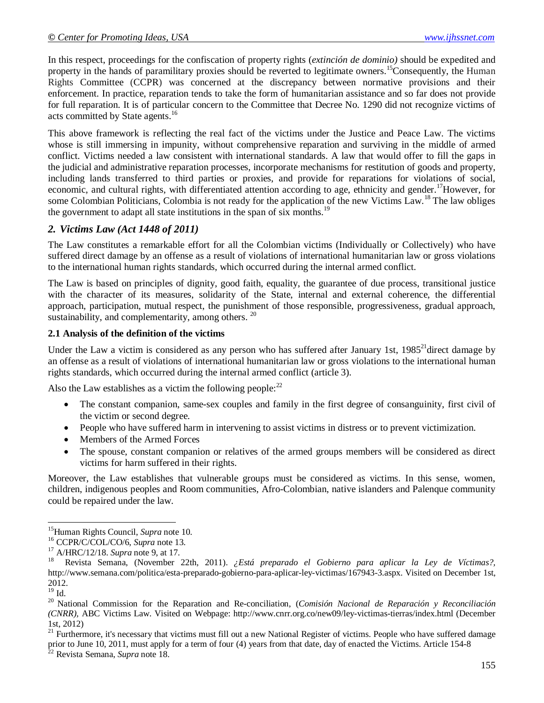In this respect, proceedings for the confiscation of property rights (*extinción de dominio)* should be expedited and property in the hands of paramilitary proxies should be reverted to legitimate owners.<sup>15</sup>Consequently, the Human Rights Committee (CCPR) was concerned at the discrepancy between normative provisions and their enforcement. In practice, reparation tends to take the form of humanitarian assistance and so far does not provide for full reparation. It is of particular concern to the Committee that Decree No. 1290 did not recognize victims of acts committed by State agents.<sup>16</sup>

This above framework is reflecting the real fact of the victims under the Justice and Peace Law. The victims whose is still immersing in impunity, without comprehensive reparation and surviving in the middle of armed conflict. Victims needed a law consistent with international standards. A law that would offer to fill the gaps in the judicial and administrative reparation processes, incorporate mechanisms for restitution of goods and property, including lands transferred to third parties or proxies, and provide for reparations for violations of social, economic, and cultural rights, with differentiated attention according to age, ethnicity and gender.<sup>17</sup>However, for some Colombian Politicians, Colombia is not ready for the application of the new Victims Law.<sup>18</sup> The law obliges the government to adapt all state institutions in the span of six months.<sup>19</sup>

### *2. Victims Law (Act 1448 of 2011)*

The Law constitutes a remarkable effort for all the Colombian victims (Individually or Collectively) who have suffered direct damage by an offense as a result of violations of international humanitarian law or gross violations to the international human rights standards, which occurred during the internal armed conflict.

The Law is based on principles of dignity, good faith, equality, the guarantee of due process, transitional justice with the character of its measures, solidarity of the State, internal and external coherence, the differential approach, participation, mutual respect, the punishment of those responsible, progressiveness, gradual approach, sustainability, and complementarity, among others.  $20$ 

### **2.1 Analysis of the definition of the victims**

Under the Law a victim is considered as any person who has suffered after January 1st, 1985<sup>21</sup>direct damage by an offense as a result of violations of international humanitarian law or gross violations to the international human rights standards, which occurred during the internal armed conflict (article 3).

Also the Law establishes as a victim the following people: $^{22}$ 

- The constant companion, same-sex couples and family in the first degree of consanguinity, first civil of the victim or second degree.
- People who have suffered harm in intervening to assist victims in distress or to prevent victimization.
- Members of the Armed Forces
- The spouse, constant companion or relatives of the armed groups members will be considered as direct victims for harm suffered in their rights.

Moreover, the Law establishes that vulnerable groups must be considered as victims. In this sense, women, children, indigenous peoples and Room communities, Afro-Colombian, native islanders and Palenque community could be repaired under the law.

 $21$  Furthermore, it's necessary that victims must fill out a new National Register of victims. People who have suffered damage prior to June 10, 2011, must apply for a term of four (4) years from that date, day of enacted the Victims. Article 154-8

<sup>22</sup> Revista Semana, *Supra* note 18.

 $\overline{a}$ <sup>15</sup>Human Rights Council, *Supra* note 10.

<sup>16</sup> CCPR/C/COL/CO/6, *Supra* note 13.

<sup>17</sup> A/HRC/12/18. *Supra* note 9, at 17.

<sup>18</sup> Revista Semana, (November 22th, 2011). *¿Está preparado el Gobierno para aplicar la Ley de Víctimas?,*  http://www.semana.com/politica/esta-preparado-gobierno-para-aplicar-ley-victimas/167943-3.aspx. Visited on December 1st, 2012.

 $^{19}$  Id.

<sup>20</sup> National Commission for the Reparation and Re-conciliation, (*Comisión Nacional de Reparación y Reconciliación (CNRR),* ABC Victims Law. Visited on Webpage: http://www.cnrr.org.co/new09/ley-victimas-tierras/index.html (December 1st, 2012)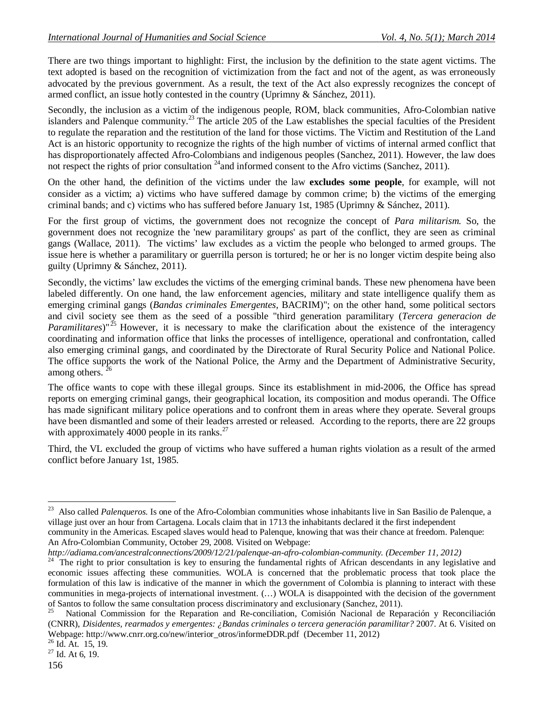There are two things important to highlight: First, the inclusion by the definition to the state agent victims. The text adopted is based on the recognition of victimization from the fact and not of the agent, as was erroneously advocated by the previous government. As a result, the text of the Act also expressly recognizes the concept of armed conflict, an issue hotly contested in the country (Uprimny & Sánchez, 2011).

Secondly, the inclusion as a victim of the indigenous people, ROM, black communities, Afro-Colombian native islanders and Palenque community.<sup>23</sup> The article 205 of the Law establishes the special faculties of the President to regulate the reparation and the restitution of the land for those victims. The Victim and Restitution of the Land Act is an historic opportunity to recognize the rights of the high number of victims of internal armed conflict that has disproportionately affected Afro-Colombians and indigenous peoples (Sanchez, 2011). However, the law does not respect the rights of prior consultation  $^{24}$  and informed consent to the Afro victims (Sanchez, 2011).

On the other hand, the definition of the victims under the law **excludes some people**, for example, will not consider as a victim; a) victims who have suffered damage by common crime; b) the victims of the emerging criminal bands; and c) victims who has suffered before January 1st, 1985 (Uprimny & Sánchez, 2011).

For the first group of victims, the government does not recognize the concept of *Para militarism.* So, the government does not recognize the 'new paramilitary groups' as part of the conflict, they are seen as criminal gangs (Wallace, 2011). The victims' law excludes as a victim the people who belonged to armed groups. The issue here is whether a paramilitary or guerrilla person is tortured; he or her is no longer victim despite being also guilty (Uprimny & Sánchez, 2011).

Secondly, the victims' law excludes the victims of the emerging criminal bands. These new phenomena have been labeled differently. On one hand, the law enforcement agencies, military and state intelligence qualify them as emerging criminal gangs (*Bandas criminales Emergentes,* BACRIM)"; on the other hand, some political sectors and civil society see them as the seed of a possible "third generation paramilitary (*Tercera generacion de Paramilitares*)"<sup>25</sup> However, it is necessary to make the clarification about the existence of the interagency coordinating and information office that links the processes of intelligence, operational and confrontation, called also emerging criminal gangs, and coordinated by the Directorate of Rural Security Police and National Police. The office supports the work of the National Police, the Army and the Department of Administrative Security, among others.  $2^{\circ}$ 

The office wants to cope with these illegal groups. Since its establishment in mid-2006, the Office has spread reports on emerging criminal gangs, their geographical location, its composition and modus operandi. The Office has made significant military police operations and to confront them in areas where they operate. Several groups have been dismantled and some of their leaders arrested or released. According to the reports, there are 22 groups with approximately 4000 people in its ranks. $^{27}$ 

Third, the VL excluded the group of victims who have suffered a human rights violation as a result of the armed conflict before January 1st, 1985.

*http://adiama.com/ancestralconnections/2009/12/21/palenque-an-afro-colombian-community. (December 11, 2012)*

<sup>&</sup>lt;sup>23</sup> Also called *Palenqueros.* Is one of the Afro-Colombian communities whose inhabitants live in San Basilio de Palenque, a village just over an hour from Cartagena. Locals claim that in 1713 the inhabitants declared it the first independent community in the Americas. Escaped slaves would head to Palenque, knowing that was their chance at freedom. Palenque: An Afro-Colombian Community, October 29, 2008. Visited on Webpage:

<sup>&</sup>lt;sup>24</sup> The right to prior consultation is key to ensuring the fundamental rights of African descendants in any legislative and economic issues affecting these communities. WOLA is concerned that the problematic process that took place the formulation of this law is indicative of the manner in which the government of Colombia is planning to interact with these communities in mega-projects of international investment. (…) WOLA is disappointed with the decision of the government of Santos to follow the same consultation process discriminatory and exclusionary (Sanchez, 2011).

<sup>25</sup> National Commission for the Reparation and Re-conciliation, Comisión Nacional de Reparación y Reconciliación (CNRR), *Disidentes, rearmados y emergentes: ¿Bandas criminales o tercera generación paramilitar?* 2007. At 6. Visited on Webpage: http://www.cnrr.org.co/new/interior\_otros/informeDDR.pdf (December 11, 2012)

<sup>26</sup> Id. At. 15, 19.

 $27$  Id. At 6, 19.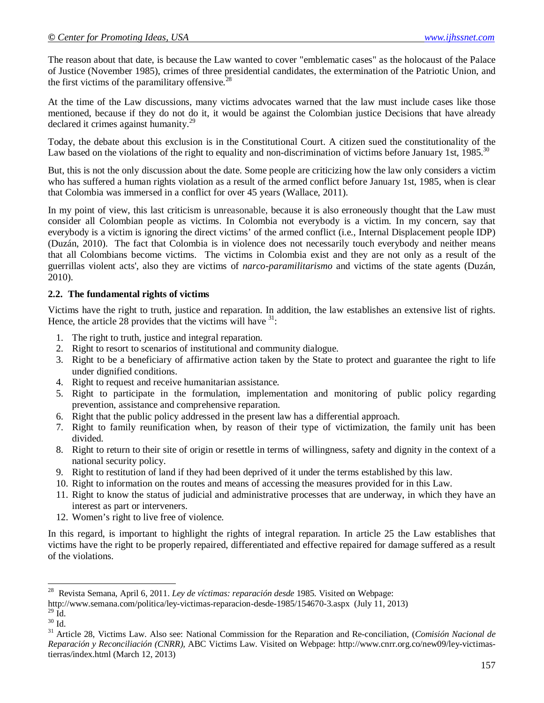The reason about that date, is because the Law wanted to cover "emblematic cases" as the holocaust of the Palace of Justice (November 1985), crimes of three presidential candidates, the extermination of the Patriotic Union, and the first victims of the paramilitary offensive.<sup>28</sup>

At the time of the Law discussions, many victims advocates warned that the law must include cases like those mentioned, because if they do not do it, it would be against the Colombian justice Decisions that have already declared it crimes against humanity.<sup>29</sup>

Today, the debate about this exclusion is in the Constitutional Court. A citizen sued the constitutionality of the Law based on the violations of the right to equality and non-discrimination of victims before January 1st,  $1985$ <sup>30</sup>

But, this is not the only discussion about the date. Some people are criticizing how the law only considers a victim who has suffered a human rights violation as a result of the armed conflict before January 1st, 1985, when is clear that Colombia was immersed in a conflict for over 45 years (Wallace, 2011).

In my point of view, this last criticism is unreasonable, because it is also erroneously thought that the Law must consider all Colombian people as victims. In Colombia not everybody is a victim. In my concern, say that everybody is a victim is ignoring the direct victims' of the armed conflict (i.e., Internal Displacement people IDP) (Duzán, 2010). The fact that Colombia is in violence does not necessarily touch everybody and neither means that all Colombians become victims. The victims in Colombia exist and they are not only as a result of the guerrillas violent acts', also they are victims of *narco-paramilitarismo* and victims of the state agents (Duzán, 2010).

### **2.2. The fundamental rights of victims**

Victims have the right to truth, justice and reparation. In addition, the law establishes an extensive list of rights. Hence, the article 28 provides that the victims will have  $31$ :

- 1. The right to truth, justice and integral reparation.
- 2. Right to resort to scenarios of institutional and community dialogue.
- 3. Right to be a beneficiary of affirmative action taken by the State to protect and guarantee the right to life under dignified conditions.
- 4. Right to request and receive humanitarian assistance.
- 5. Right to participate in the formulation, implementation and monitoring of public policy regarding prevention, assistance and comprehensive reparation.
- 6. Right that the public policy addressed in the present law has a differential approach.
- 7. Right to family reunification when, by reason of their type of victimization, the family unit has been divided.
- 8. Right to return to their site of origin or resettle in terms of willingness, safety and dignity in the context of a national security policy.
- 9. Right to restitution of land if they had been deprived of it under the terms established by this law.
- 10. Right to information on the routes and means of accessing the measures provided for in this Law.
- 11. Right to know the status of judicial and administrative processes that are underway, in which they have an interest as part or interveners.
- 12. Women's right to live free of violence.

In this regard, is important to highlight the rights of integral reparation. In article 25 the Law establishes that victims have the right to be properly repaired, differentiated and effective repaired for damage suffered as a result of the violations.

 $\overline{a}$ 

<sup>&</sup>lt;sup>28</sup> Revista Semana, April 6, 2011. *Ley de víctimas: reparación desde* 1985. Visited on Webpage:

http://www.semana.com/politica/ley-victimas-reparacion-desde-1985/154670-3.aspx (July 11, 2013)

 $^{29}$  Id.

 $30$  Id.

<sup>31</sup> Article 28, Victims Law. Also see: National Commission for the Reparation and Re-conciliation, (*Comisión Nacional de Reparación y Reconciliación (CNRR),* ABC Victims Law. Visited on Webpage: http://www.cnrr.org.co/new09/ley-victimastierras/index.html (March 12, 2013)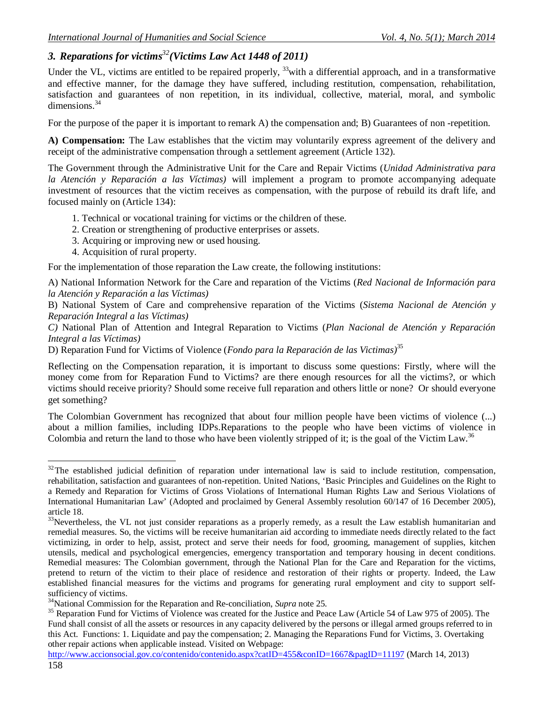## *3. Reparations for victims <sup>32</sup>(Victims Law Act 1448 of 2011)*

Under the VL, victims are entitled to be repaired properly,  $33$  with a differential approach, and in a transformative and effective manner, for the damage they have suffered, including restitution, compensation, rehabilitation, satisfaction and guarantees of non repetition, in its individual, collective, material, moral, and symbolic dimensions.<sup>34</sup>

For the purpose of the paper it is important to remark A) the compensation and; B) Guarantees of non-repetition.

**A) Compensation:** The Law establishes that the victim may voluntarily express agreement of the delivery and receipt of the administrative compensation through a settlement agreement (Article 132).

The Government through the Administrative Unit for the Care and Repair Victims (*Unidad Administrativa para la Atención y Reparación a las Víctimas)* will implement a program to promote accompanying adequate investment of resources that the victim receives as compensation, with the purpose of rebuild its draft life, and focused mainly on (Article 134):

- 1. Technical or vocational training for victims or the children of these.
- 2. Creation or strengthening of productive enterprises or assets.
- 3. Acquiring or improving new or used housing.
- 4. Acquisition of rural property.

For the implementation of those reparation the Law create, the following institutions:

A) National Information Network for the Care and reparation of the Victims (*Red Nacional de Información para la Atención y Reparación a las Víctimas)*

B) National System of Care and comprehensive reparation of the Victims (*Sistema Nacional de Atención y Reparación Integral a las Víctimas)*

*C)* National Plan of Attention and Integral Reparation to Victims (*Plan Nacional de Atención y Reparación Integral a las Víctimas)*

D) Reparation Fund for Victims of Violence (*Fondo para la Reparación de las Victimas)*<sup>35</sup>

Reflecting on the Compensation reparation, it is important to discuss some questions: Firstly, where will the money come from for Reparation Fund to Victims? are there enough resources for all the victims?, or which victims should receive priority? Should some receive full reparation and others little or none? Or should everyone get something?

The Colombian Government has recognized that about four million people have been victims of violence (...) about a million families, including IDPs.Reparations to the people who have been victims of violence in Colombia and return the land to those who have been violently stripped of it; is the goal of the Victim Law.<sup>36</sup>

 $\overline{a}$  $32$ The established judicial definition of reparation under international law is said to include restitution, compensation, rehabilitation, satisfaction and guarantees of non-repetition. United Nations, 'Basic Principles and Guidelines on the Right to a Remedy and Reparation for Victims of Gross Violations of International Human Rights Law and Serious Violations of International Humanitarian Law' (Adopted and proclaimed by General Assembly resolution 60/147 of 16 December 2005), article 18.

 $33$ Nevertheless, the VL not just consider reparations as a properly remedy, as a result the Law establish humanitarian and remedial measures. So, the victims will be receive humanitarian aid according to immediate needs directly related to the fact victimizing, in order to help, assist, protect and serve their needs for food, grooming, management of supplies, kitchen utensils, medical and psychological emergencies, emergency transportation and temporary housing in decent conditions. Remedial measures: The Colombian government, through the National Plan for the Care and Reparation for the victims, pretend to return of the victim to their place of residence and restoration of their rights or property. Indeed, the Law established financial measures for the victims and programs for generating rural employment and city to support selfsufficiency of victims.

<sup>34</sup>National Commission for the Reparation and Re-conciliation, *Supra* note 25.

<sup>&</sup>lt;sup>35</sup> Reparation Fund for Victims of Violence was created for the Justice and Peace Law (Article 54 of Law 975 of 2005). The Fund shall consist of all the assets or resources in any capacity delivered by the persons or illegal armed groups referred to in this Act. Functions: 1. Liquidate and pay the compensation; 2. Managing the Reparations Fund for Victims, 3. Overtaking other repair actions when applicable instead. Visited on Webpage: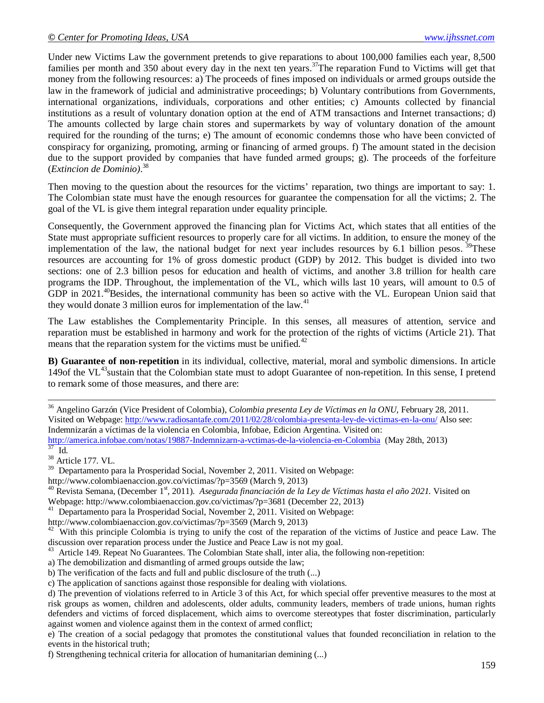Under new Victims Law the government pretends to give reparations to about 100,000 families each year, 8,500 families per month and 350 about every day in the next ten years.<sup>37</sup>The reparation Fund to Victims will get that money from the following resources: a) The proceeds of fines imposed on individuals or armed groups outside the law in the framework of judicial and administrative proceedings; b) Voluntary contributions from Governments, international organizations, individuals, corporations and other entities; c) Amounts collected by financial institutions as a result of voluntary donation option at the end of ATM transactions and Internet transactions; d) The amounts collected by large chain stores and supermarkets by way of voluntary donation of the amount required for the rounding of the turns; e) The amount of economic condemns those who have been convicted of conspiracy for organizing, promoting, arming or financing of armed groups. f) The amount stated in the decision due to the support provided by companies that have funded armed groups; g). The proceeds of the forfeiture (*Extincion de Dominio)*. 38

Then moving to the question about the resources for the victims' reparation, two things are important to say: 1. The Colombian state must have the enough resources for guarantee the compensation for all the victims; 2. The goal of the VL is give them integral reparation under equality principle.

Consequently, the Government approved the financing plan for Victims Act, which states that all entities of the State must appropriate sufficient resources to properly care for all victims. In addition, to ensure the money of the implementation of the law, the national budget for next year includes resources by 6.1 billion pesos. <sup>39</sup>These resources are accounting for 1% of gross domestic product (GDP) by 2012. This budget is divided into two sections: one of 2.3 billion pesos for education and health of victims, and another 3.8 trillion for health care programs the IDP. Throughout, the implementation of the VL, which wills last 10 years, will amount to 0.5 of GDP in 2021.<sup>40</sup>Besides, the international community has been so active with the VL. European Union said that they would donate 3 million euros for implementation of the law.<sup>41</sup>

The Law establishes the Complementarity Principle. In this senses, all measures of attention, service and reparation must be established in harmony and work for the protection of the rights of victims (Article 21). That means that the reparation system for the victims must be unified.<sup>42</sup>

**B) Guarantee of non-repetition** in its individual, collective, material, moral and symbolic dimensions. In article 149of the VL<sup>43</sup>sustain that the Colombian state must to adopt Guarantee of non-repetition. In this sense, I pretend to remark some of those measures, and there are:

<sup>36</sup> Angelino Garzón (Vice President of Colombia), *Colombia presenta Ley de Víctimas en la ONU,* February 28, 2011. Visited on Webpage: http://www.radiosantafe.com/2011/02/28/colombia-presenta-ley-de-victimas-en-la-onu/ Also see: Indemnizarán a víctimas de la violencia en Colombia, Infobae, Edicion Argentina. Visited on: http://america.infobae.com/notas/19887-Indemnizarn-a-vctimas-de-la-violencia-en-Colombia (May 28th, 2013)

 $\overline{a}$ 

<sup>38</sup> Article 177. VL.

<sup>39</sup> Departamento para la Prosperidad Social, November 2, 2011. Visited on Webpage:

http://www.colombiaenaccion.gov.co/victimas/?p=3569 (March 9, 2013)

<sup>40</sup> Revista Semana, (December 1<sup>st</sup>, 2011). *Asegurada financiación de la Ley de Víctimas hasta el año 2021*. Visited on Webpage: http://www.colombiaenaccion.gov.co/victimas/?p=3681 (December 22, 2013)

<sup>41</sup> Departamento para la Prosperidad Social, November 2, 2011. Visited on Webpage:

http://www.colombiaenaccion.gov.co/victimas/?p=3569 (March 9, 2013)

 $42$  With this principle Colombia is trying to unify the cost of the reparation of the victims of Justice and peace Law. The discussion over reparation process under the Justice and Peace Law is not my goal.

<sup>43</sup> Article 149. Repeat No Guarantees. The Colombian State shall, inter alia, the following non-repetition:

a) The demobilization and dismantling of armed groups outside the law;

b) The verification of the facts and full and public disclosure of the truth (...)

c) The application of sanctions against those responsible for dealing with violations.

d) The prevention of violations referred to in Article 3 of this Act, for which special offer preventive measures to the most at risk groups as women, children and adolescents, older adults, community leaders, members of trade unions, human rights defenders and victims of forced displacement, which aims to overcome stereotypes that foster discrimination, particularly against women and violence against them in the context of armed conflict;

e) The creation of a social pedagogy that promotes the constitutional values that founded reconciliation in relation to the events in the historical truth;

f) Strengthening technical criteria for allocation of humanitarian demining (...)

<sup>37</sup> Id.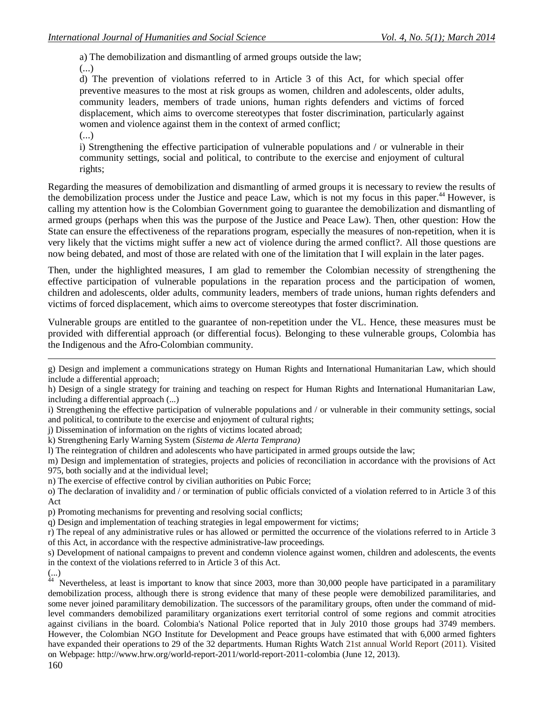a) The demobilization and dismantling of armed groups outside the law; (...)

d) The prevention of violations referred to in Article 3 of this Act, for which special offer preventive measures to the most at risk groups as women, children and adolescents, older adults, community leaders, members of trade unions, human rights defenders and victims of forced displacement, which aims to overcome stereotypes that foster discrimination, particularly against women and violence against them in the context of armed conflict; (...)

i) Strengthening the effective participation of vulnerable populations and / or vulnerable in their community settings, social and political, to contribute to the exercise and enjoyment of cultural rights;

Regarding the measures of demobilization and dismantling of armed groups it is necessary to review the results of the demobilization process under the Justice and peace Law, which is not my focus in this paper.<sup>44</sup> However, is calling my attention how is the Colombian Government going to guarantee the demobilization and dismantling of armed groups (perhaps when this was the purpose of the Justice and Peace Law). Then, other question: How the State can ensure the effectiveness of the reparations program, especially the measures of non-repetition, when it is very likely that the victims might suffer a new act of violence during the armed conflict?. All those questions are now being debated, and most of those are related with one of the limitation that I will explain in the later pages.

Then, under the highlighted measures, I am glad to remember the Colombian necessity of strengthening the effective participation of vulnerable populations in the reparation process and the participation of women, children and adolescents, older adults, community leaders, members of trade unions, human rights defenders and victims of forced displacement, which aims to overcome stereotypes that foster discrimination.

Vulnerable groups are entitled to the guarantee of non-repetition under the VL. Hence, these measures must be provided with differential approach (or differential focus). Belonging to these vulnerable groups, Colombia has the Indigenous and the Afro-Colombian community.

- j) Dissemination of information on the rights of victims located abroad;
- k) Strengthening Early Warning System (*Sistema de Alerta Temprana)*
- l) The reintegration of children and adolescents who have participated in armed groups outside the law;

m) Design and implementation of strategies, projects and policies of reconciliation in accordance with the provisions of Act 975, both socially and at the individual level;

- n) The exercise of effective control by civilian authorities on Pubic Force;
- o) The declaration of invalidity and / or termination of public officials convicted of a violation referred to in Article 3 of this Act
- p) Promoting mechanisms for preventing and resolving social conflicts;
- q) Design and implementation of teaching strategies in legal empowerment for victims;

r) The repeal of any administrative rules or has allowed or permitted the occurrence of the violations referred to in Article 3 of this Act, in accordance with the respective administrative-law proceedings.

s) Development of national campaigns to prevent and condemn violence against women, children and adolescents, the events in the context of the violations referred to in Article 3 of this Act.

 Nevertheless, at least is important to know that since 2003, more than 30,000 people have participated in a paramilitary demobilization process, although there is strong evidence that many of these people were demobilized paramilitaries, and some never joined paramilitary demobilization. The successors of the paramilitary groups, often under the command of midlevel commanders demobilized paramilitary organizations exert territorial control of some regions and commit atrocities against civilians in the board. Colombia's National Police reported that in July 2010 those groups had 3749 members. However, the Colombian NGO Institute for Development and Peace groups have estimated that with 6,000 armed fighters have expanded their operations to 29 of the 32 departments. Human Rights Watch 21st annual World Report (2011). Visited on Webpage: http://www.hrw.org/world-report-2011/world-report-2011-colombia (June 12, 2013).

 $\overline{a}$ g) Design and implement a communications strategy on Human Rights and International Humanitarian Law, which should include a differential approach;

h) Design of a single strategy for training and teaching on respect for Human Rights and International Humanitarian Law, including a differential approach (...)

i) Strengthening the effective participation of vulnerable populations and / or vulnerable in their community settings, social and political, to contribute to the exercise and enjoyment of cultural rights;

<sup>(...)</sup> 44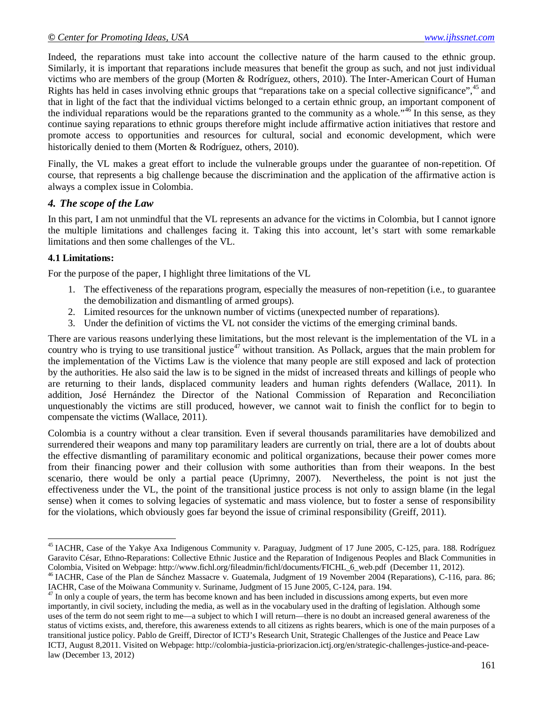Indeed, the reparations must take into account the collective nature of the harm caused to the ethnic group. Similarly, it is important that reparations include measures that benefit the group as such, and not just individual victims who are members of the group (Morten & Rodríguez, others, 2010). The Inter-American Court of Human Rights has held in cases involving ethnic groups that "reparations take on a special collective significance",<sup>45</sup> and that in light of the fact that the individual victims belonged to a certain ethnic group, an important component of the individual reparations would be the reparations granted to the community as a whole."<sup>46</sup> In this sense, as they continue saying reparations to ethnic groups therefore might include affirmative action initiatives that restore and promote access to opportunities and resources for cultural, social and economic development, which were historically denied to them (Morten & Rodríguez, others, 2010).

Finally, the VL makes a great effort to include the vulnerable groups under the guarantee of non-repetition. Of course, that represents a big challenge because the discrimination and the application of the affirmative action is always a complex issue in Colombia.

### *4. The scope of the Law*

In this part, I am not unmindful that the VL represents an advance for the victims in Colombia, but I cannot ignore the multiple limitations and challenges facing it. Taking this into account, let's start with some remarkable limitations and then some challenges of the VL.

### **4.1 Limitations:**

 $\overline{a}$ 

For the purpose of the paper, I highlight three limitations of the VL

- 1. The effectiveness of the reparations program, especially the measures of non-repetition (i.e., to guarantee the demobilization and dismantling of armed groups).
- 2. Limited resources for the unknown number of victims (unexpected number of reparations).
- 3. Under the definition of victims the VL not consider the victims of the emerging criminal bands.

There are various reasons underlying these limitations, but the most relevant is the implementation of the VL in a country who is trying to use transitional justice<sup>47</sup> without transition. As Pollack, argues that the main problem for the implementation of the Victims Law is the violence that many people are still exposed and lack of protection by the authorities. He also said the law is to be signed in the midst of increased threats and killings of people who are returning to their lands, displaced community leaders and human rights defenders (Wallace, 2011). In addition, José Hernández the Director of the National Commission of Reparation and Reconciliation unquestionably the victims are still produced, however, we cannot wait to finish the conflict for to begin to compensate the victims (Wallace, 2011).

Colombia is a country without a clear transition. Even if several thousands paramilitaries have demobilized and surrendered their weapons and many top paramilitary leaders are currently on trial, there are a lot of doubts about the effective dismantling of paramilitary economic and political organizations, because their power comes more from their financing power and their collusion with some authorities than from their weapons. In the best scenario, there would be only a partial peace (Uprimny, 2007). Nevertheless, the point is not just the effectiveness under the VL, the point of the transitional justice process is not only to assign blame (in the legal sense) when it comes to solving legacies of systematic and mass violence, but to foster a sense of responsibility for the violations, which obviously goes far beyond the issue of criminal responsibility (Greiff, 2011).

<sup>&</sup>lt;sup>45</sup> IACHR, Case of the Yakye Axa Indigenous Community v. Paraguay, Judgment of 17 June 2005, C-125, para. 188. Rodríguez Garavito César, Ethno-Reparations: Collective Ethnic Justice and the Reparation of Indigenous Peoples and Black Communities in Colombia, Visited on Webpage: http://www.fichl.org/fileadmin/fichl/documents/FICHL\_6\_web.pdf (December 11, 2012).

<sup>&</sup>lt;sup>46</sup> IACHR, Case of the Plan de Sánchez Massacre v. Guatemala, Judgment of 19 November 2004 (Reparations), C-116, para. 86; IACHR, Case of the Moiwana Community v. Suriname, Judgment of 15 June 2005, C-124, para. 194.

 $47$  In only a couple of years, the term has become known and has been included in discussions among experts, but even more importantly, in civil society, including the media, as well as in the vocabulary used in the drafting of legislation. Although some uses of the term do not seem right to me—a subject to which I will return—there is no doubt an increased general awareness of the status of victims exists, and, therefore, this awareness extends to all citizens as rights bearers, which is one of the main purposes of a transitional justice policy. Pablo de Greiff, Director of ICTJ's Research Unit, Strategic Challenges of the Justice and Peace Law ICTJ, August 8,2011. Visited on Webpage: http://colombia-justicia-priorizacion.ictj.org/en/strategic-challenges-justice-and-peacelaw (December 13, 2012)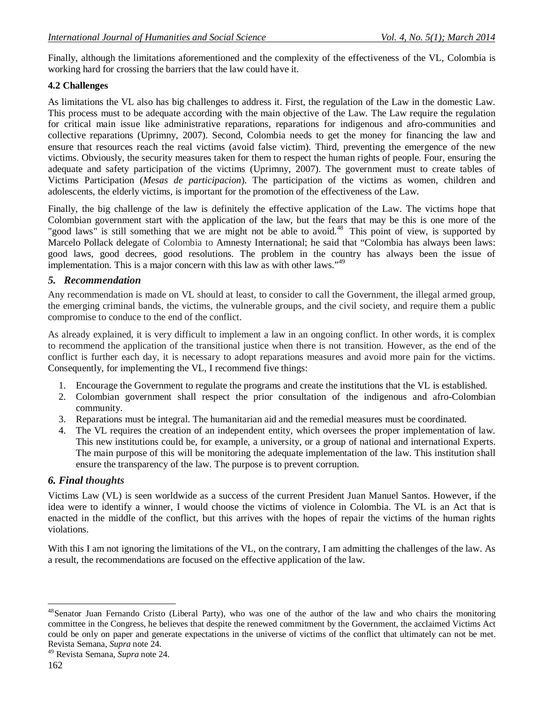Finally, although the limitations aforementioned and the complexity of the effectiveness of the VL, Colombia is working hard for crossing the barriers that the law could have it.

### **4.2 Challenges**

As limitations the VL also has big challenges to address it. First, the regulation of the Law in the domestic Law. This process must to be adequate according with the main objective of the Law. The Law require the regulation for critical main issue like administrative reparations, reparations for indigenous and afro-communities and collective reparations (Uprimny, 2007). Second, Colombia needs to get the money for financing the law and ensure that resources reach the real victims (avoid false victim). Third, preventing the emergence of the new victims. Obviously, the security measures taken for them to respect the human rights of people. Four, ensuring the adequate and safety participation of the victims (Uprimny, 2007). The government must to create tables of Victims Participation (*Mesas de participacion*). The participation of the victims as women, children and adolescents, the elderly victims, is important for the promotion of the effectiveness of the Law.

Finally, the big challenge of the law is definitely the effective application of the Law. The victims hope that Colombian government start with the application of the law, but the fears that may be this is one more of the "good laws" is still something that we are might not be able to avoid.<sup>48</sup> This point of view, is supported by Marcelo Pollack delegate of Colombia to Amnesty International; he said that "Colombia has always been laws: good laws, good decrees, good resolutions. The problem in the country has always been the issue of implementation. This is a major concern with this law as with other laws."<sup>49</sup>

### *5. Recommendation*

Any recommendation is made on VL should at least, to consider to call the Government, the illegal armed group, the emerging criminal bands, the victims, the vulnerable groups, and the civil society, and require them a public compromise to conduce to the end of the conflict.

As already explained, it is very difficult to implement a law in an ongoing conflict. In other words, it is complex to recommend the application of the transitional justice when there is not transition. However, as the end of the conflict is further each day, it is necessary to adopt reparations measures and avoid more pain for the victims. Consequently, for implementing the VL, I recommend five things:

- 1. Encourage the Government to regulate the programs and create the institutions that the VL is established.
- 2. Colombian government shall respect the prior consultation of the indigenous and afro-Colombian community.
- 3. Reparations must be integral. The humanitarian aid and the remedial measures must be coordinated.
- 4. The VL requires the creation of an independent entity, which oversees the proper implementation of law. This new institutions could be, for example, a university, or a group of national and international Experts. The main purpose of this will be monitoring the adequate implementation of the law. This institution shall ensure the transparency of the law. The purpose is to prevent corruption.

## *6. Final thoughts*

Victims Law (VL) is seen worldwide as a success of the current President Juan Manuel Santos. However, if the idea were to identify a winner, I would choose the victims of violence in Colombia. The VL is an Act that is enacted in the middle of the conflict, but this arrives with the hopes of repair the victims of the human rights violations.

With this I am not ignoring the limitations of the VL, on the contrary, I am admitting the challenges of the law. As a result, the recommendations are focused on the effective application of the law.

 $\overline{a}$ <sup>48</sup>Senator Juan Fernando Cristo (Liberal Party), who was one of the author of the law and who chairs the monitoring committee in the Congress, he believes that despite the renewed commitment by the Government, the acclaimed Victims Act could be only on paper and generate expectations in the universe of victims of the conflict that ultimately can not be met. Revista Semana, *Supra* note 24.

<sup>49</sup> Revista Semana, *Supra* note 24.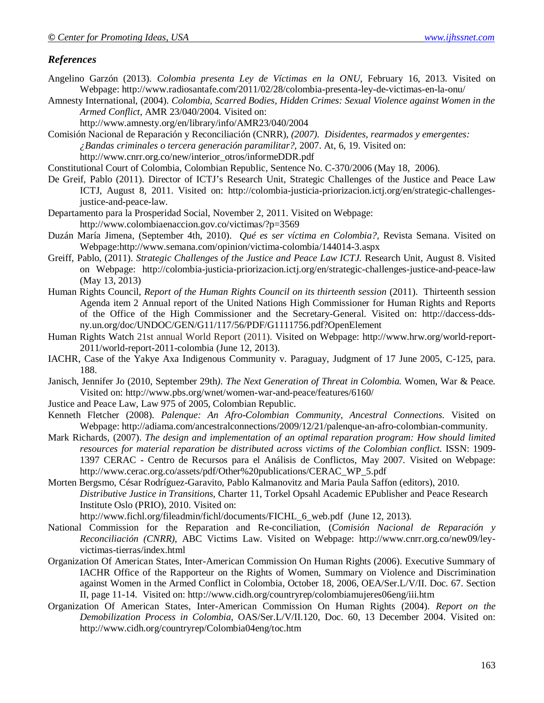### *References*

- Angelino Garzón (2013). *Colombia presenta Ley de Víctimas en la ONU,* February 16, 2013. Visited on Webpage: http://www.radiosantafe.com/2011/02/28/colombia-presenta-ley-de-victimas-en-la-onu/
- Amnesty International, (2004). *Colombia, Scarred Bodies, Hidden Crimes: Sexual Violence against Women in the Armed Conflict,* AMR 23/040/2004. Visited on:
	- http://www.amnesty.org/en/library/info/AMR23/040/2004

Comisión Nacional de Reparación y Reconciliación (CNRR), *(2007). Disidentes, rearmados y emergentes: ¿Bandas criminales o tercera generación paramilitar?,* 2007. At, 6, 19. Visited on: http://www.cnrr.org.co/new/interior\_otros/informeDDR.pdf

Constitutional Court of Colombia, Colombian Republic, Sentence No. C-370/2006 (May 18, 2006).

- De Greif, Pablo (2011). Director of ICTJ's Research Unit, Strategic Challenges of the Justice and Peace Law ICTJ, August 8, 2011. Visited on: http://colombia-justicia-priorizacion.ictj.org/en/strategic-challengesjustice-and-peace-law.
- Departamento para la Prosperidad Social, November 2, 2011. Visited on Webpage: http://www.colombiaenaccion.gov.co/victimas/?p=3569
- Duzán María Jimena, (September 4th, 2010). *Qué es ser víctima en Colombia?,* Revista Semana. Visited on Webpage:http://www.semana.com/opinion/victima-colombia/144014-3.aspx
- Greiff, Pablo, (2011). *Strategic Challenges of the Justice and Peace Law ICTJ.* Research Unit, August 8. Visited on Webpage: http://colombia-justicia-priorizacion.ictj.org/en/strategic-challenges-justice-and-peace-law (May 13, 2013)
- Human Rights Council, *Report of the Human Rights Council on its thirteenth session* (2011). Thirteenth session Agenda item 2 Annual report of the United Nations High Commissioner for Human Rights and Reports of the Office of the High Commissioner and the Secretary-General. Visited on: http://daccess-ddsny.un.org/doc/UNDOC/GEN/G11/117/56/PDF/G1111756.pdf?OpenElement
- Human Rights Watch 21st annual World Report (2011). Visited on Webpage: http://www.hrw.org/world-report-2011/world-report-2011-colombia (June 12, 2013).
- IACHR, Case of the Yakye Axa Indigenous Community v. Paraguay, Judgment of 17 June 2005, C-125, para. 188.

Janisch, Jennifer Jo (2010, September 29th*). The Next Generation of Threat in Colombia.* Women, War & Peace. Visited on: http://www.pbs.org/wnet/women-war-and-peace/features/6160/

- Justice and Peace Law, Law 975 of 2005, Colombian Republic.
- Kenneth Fletcher (2008). *Palenque: An Afro-Colombian Community, Ancestral Connections.* Visited on Webpage: http://adiama.com/ancestralconnections/2009/12/21/palenque-an-afro-colombian-community.
- Mark Richards, (2007). *The design and implementation of an optimal reparation program: How should limited resources for material reparation be distributed across victims of the Colombian conflict.* ISSN: 1909- 1397 CERAC - Centro de Recursos para el Análisis de Conflictos, May 2007. Visited on Webpage: http://www.cerac.org.co/assets/pdf/Other%20publications/CERAC\_WP\_5.pdf
- Morten Bergsmo, César Rodríguez-Garavito, Pablo Kalmanovitz and Maria Paula Saffon (editors), 2010. *Distributive Justice in Transitions,* Charter 11, Torkel Opsahl Academic EPublisher and Peace Research Institute Oslo (PRIO), 2010. Visited on:

http://www.fichl.org/fileadmin/fichl/documents/FICHL\_6\_web.pdf (June 12, 2013).

- National Commission for the Reparation and Re-conciliation, (*Comisión Nacional de Reparación y Reconciliación (CNRR),* ABC Victims Law. Visited on Webpage: http://www.cnrr.org.co/new09/leyvictimas-tierras/index.html
- Organization Of American States, Inter-American Commission On Human Rights (2006). Executive Summary of IACHR Office of the Rapporteur on the Rights of Women, Summary on Violence and Discrimination against Women in the Armed Conflict in Colombia, October 18, 2006, OEA/Ser.L/V/II. Doc. 67. Section II, page 11-14. Visited on: http://www.cidh.org/countryrep/colombiamujeres06eng/iii.htm
- Organization Of American States, Inter-American Commission On Human Rights (2004). *Report on the Demobilization Process in Colombia*, OAS/Ser.L/V/II.120, Doc. 60, 13 December 2004. Visited on: http://www.cidh.org/countryrep/Colombia04eng/toc.htm